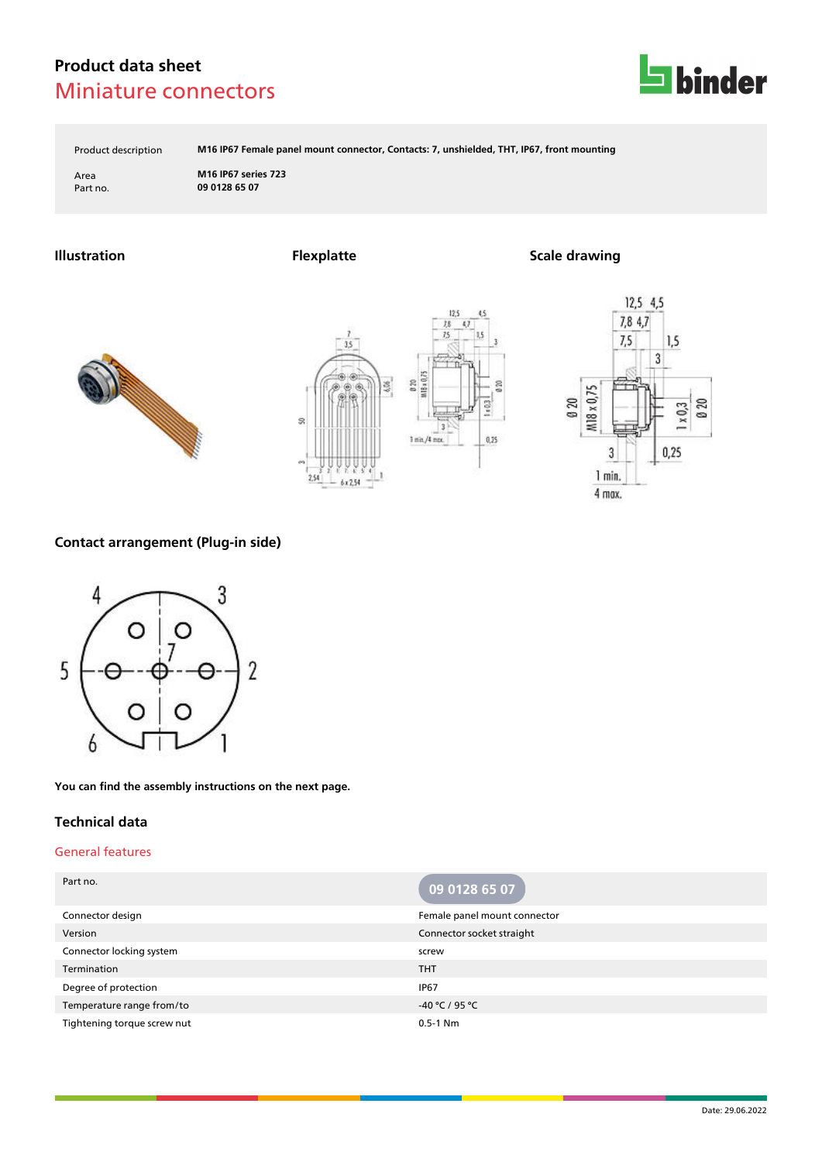

Product description **M16 IP67 Female panel mount connector, Contacts: 7, unshielded, THT, IP67, front mounting**

 $12<sup>4</sup>$ 

 $0.25$ 

 $75$ 

Area **M16 IP67 series 723** Part no. **09 0128 65 07**

### **Illustration Flexplatte Scale drawing**







### **Contact arrangement (Plug-in side)**



**You can find the assembly instructions on the next page.**

#### **Technical data**

#### General features

| Part no.                    | 09 0128 65 07                |
|-----------------------------|------------------------------|
| Connector design            | Female panel mount connector |
| Version                     | Connector socket straight    |
| Connector locking system    | screw                        |
| Termination                 | <b>THT</b>                   |
| Degree of protection        | <b>IP67</b>                  |
| Temperature range from/to   | -40 °C / 95 °C               |
| Tightening torque screw nut | $0.5 - 1$ Nm                 |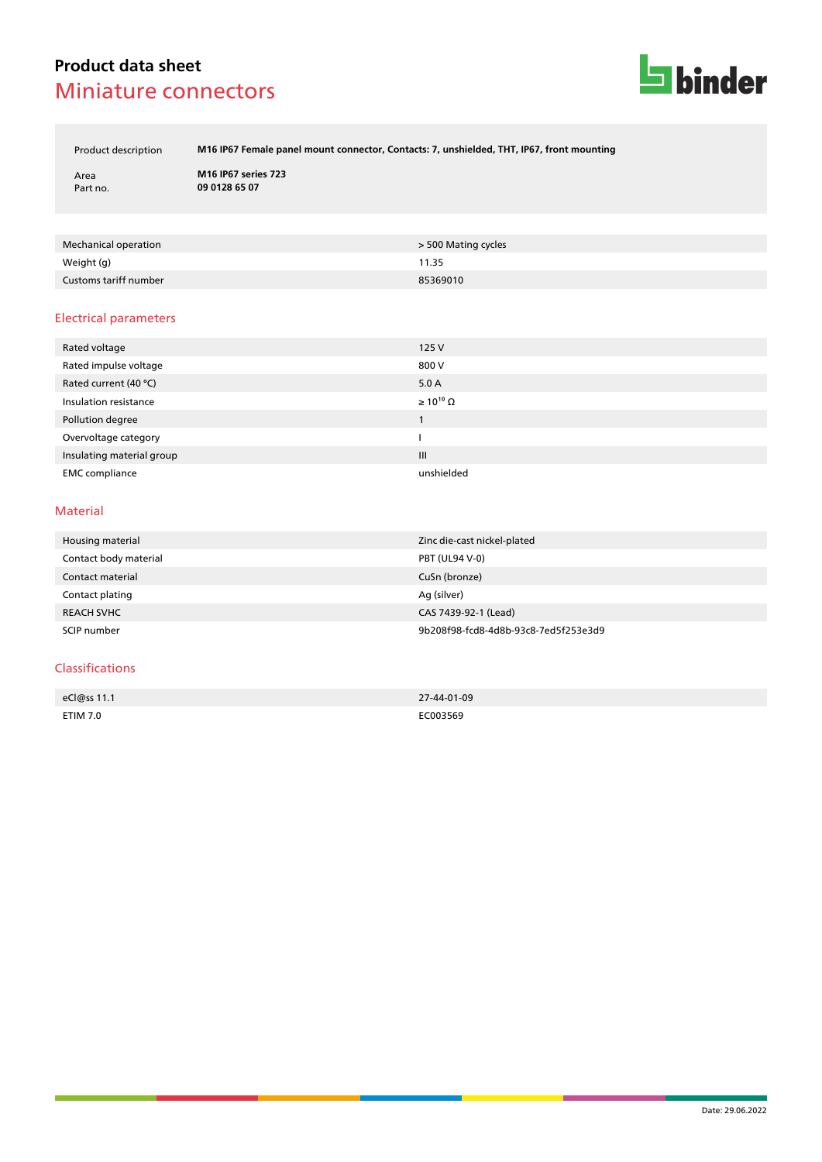

Product description **M16 IP67 Female panel mount connector, Contacts: 7, unshielded, THT, IP67, front mounting**

Area **M16 IP67 series 723** Part no. **09 0128 65 07**

| Mechanical operation  | > 500 Mating cycles |
|-----------------------|---------------------|
| Weight (g)            | 11.35               |
| Customs tariff number | 85369010            |

#### Electrical parameters

| Rated voltage             | 125V                  |
|---------------------------|-----------------------|
| Rated impulse voltage     | 800 V                 |
| Rated current (40 °C)     | 5.0A                  |
| Insulation resistance     | $\geq 10^{10} \Omega$ |
| Pollution degree          |                       |
| Overvoltage category      |                       |
| Insulating material group | III                   |
| <b>EMC</b> compliance     | unshielded            |

#### Material

| Housing material      | Zinc die-cast nickel-plated          |
|-----------------------|--------------------------------------|
| Contact body material | <b>PBT (UL94 V-0)</b>                |
| Contact material      | CuSn (bronze)                        |
| Contact plating       | Ag (silver)                          |
| <b>REACH SVHC</b>     | CAS 7439-92-1 (Lead)                 |
| SCIP number           | 9b208f98-fcd8-4d8b-93c8-7ed5f253e3d9 |

#### Classifications

| eCl@ss 11.1     | 27-44-01-09 |
|-----------------|-------------|
|                 |             |
| <b>ETIM 7.0</b> | C003569     |
|                 | .           |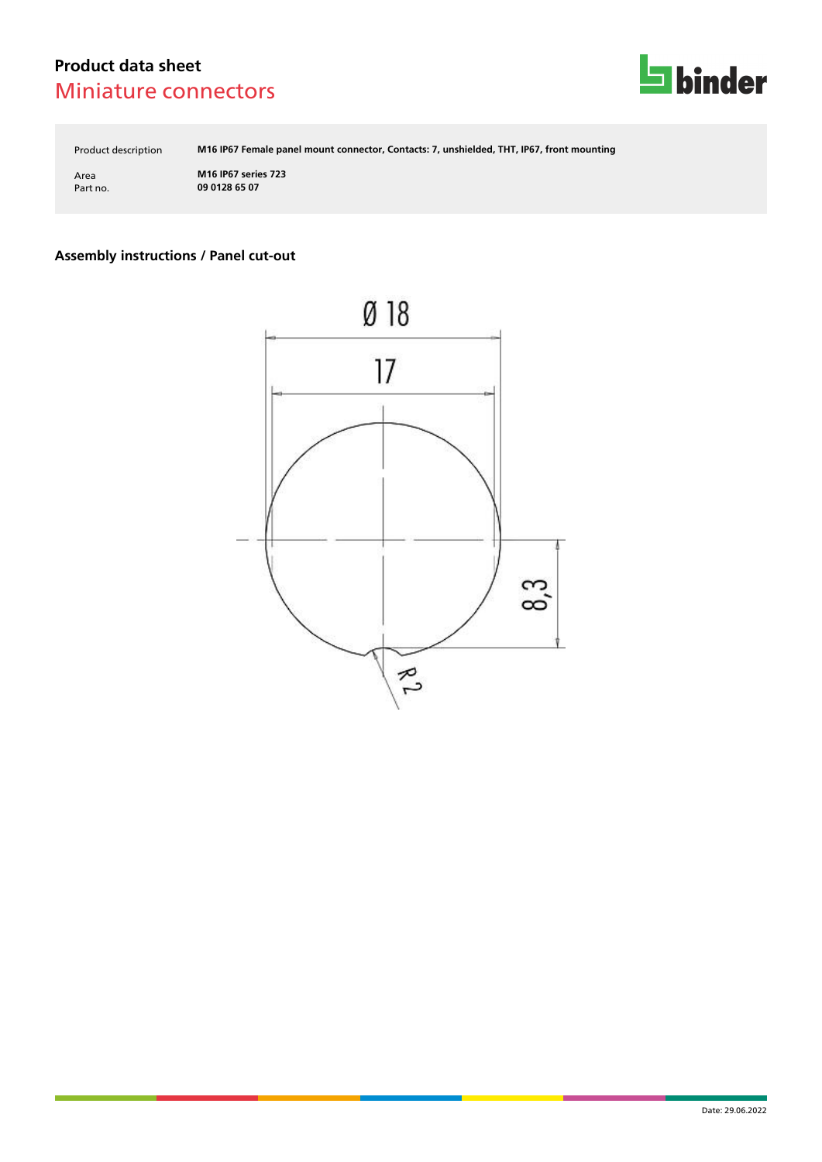

Product description **M16 IP67 Female panel mount connector, Contacts: 7, unshielded, THT, IP67, front mounting**

Area **M16 IP67 series 723** Part no. **09 0128 65 07**

## **Assembly instructions / Panel cut-out**